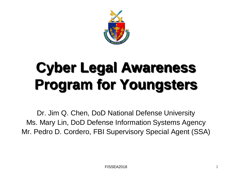

# **Cyber Legal Awareness Program for Youngsters**

 Dr. Jim Q. Chen, DoD National Defense University Ms. Mary Lin, DoD Defense Information Systems Agency Mr. Pedro D. Cordero, FBI Supervisory Special Agent (SSA)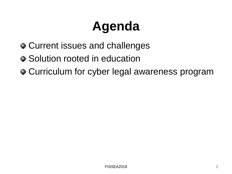## **Agenda**

- Current issues and challenges
- Solution rooted in education
- Curriculum for cyber legal awareness program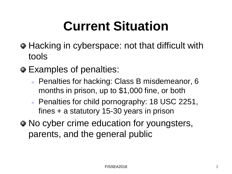## **Current Situation**

- Hacking in cyberspace: not that difficult with tools
- Examples of penalties:
	- months in prison, up to \$1,000 fine, or both **Penalties for hacking: Class B misdemeanor, 6**
	- fines + a statutory 15-30 years in prison **Penalties for child pornography: 18 USC 2251,**
- No cyber crime education for youngsters, parents, and the general public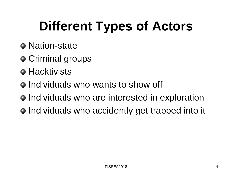## **Different Types of Actors**

- Nation-state
- Criminal groups
- **Hacktivists**
- Individuals who wants to show off
- Individuals who are interested in exploration
- Individuals who accidently get trapped into it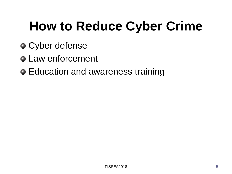## **How to Reduce Cyber Crime**

- Cyber defense
- **Law enforcement**
- Education and awareness training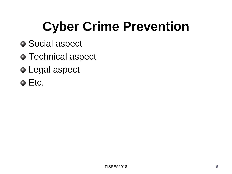# **Cyber Crime Prevention**

- Social aspect
- **Technical aspect**
- Legal aspect
- Etc.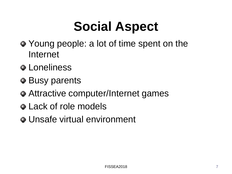## **Social Aspect**

- Young people: a lot of time spent on the Internet
- **•** Loneliness
- Busy parents
- Attractive computer/Internet games
- Lack of role models
- Unsafe virtual environment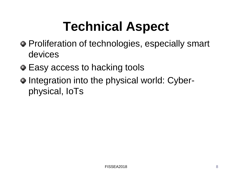## **Technical Aspect**

- Proliferation of technologies, especially smart devices
- Easy access to hacking tools
- Integration into the physical world: Cyberphysical, IoTs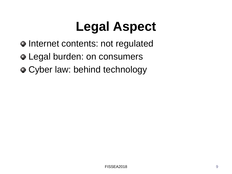#### **Legal Aspect**

- Internet contents: not regulated
- Legal burden: on consumers
- Cyber law: behind technology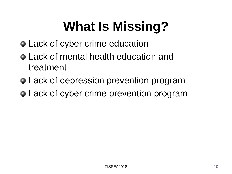## **What Is Missing?**

- Lack of cyber crime education
- Lack of mental health education and treatment
- Lack of depression prevention program
- Lack of cyber crime prevention program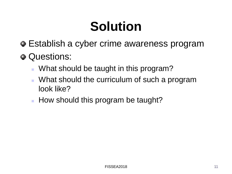## **Solution**

- Establish a cyber crime awareness program
- Questions:
	- What should be taught in this program?
	- **What should the curriculum of such a program** look like?
	- How should this program be taught?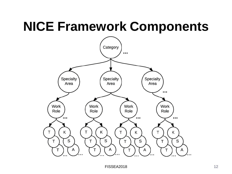#### **NICE Framework Components**

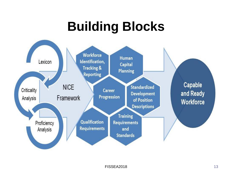#### **Building Blocks**

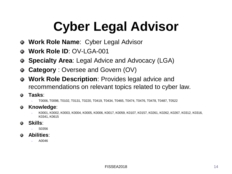# **Cyber Legal Advisor**

- **Work Role Name**: Cyber Legal Advisor ●.
- **Work Role ID**: OV-LGA-001  $\bullet$
- **Specialty Area**: Legal Advice and Advocacy (LGA)  $\bullet$
- **Category** : Oversee and Govern (OV)  $\bullet$
- **Work Role Description**: Provides legal advice and  $\bullet$ recommendations on relevant topics related to cyber law.
- **Tasks**: ۰
	- T0006, T0098, T0102, T0131, T0220, T0419, T0434, T0465, T0474, T0476, T0478, T0487, T0522
- **Knowledge**: ۰
	- K0001, K0002, K0003, K0004, K0005, K0006, K0017, K0059, K0107, K0157, K0261, K0262, K0267, K0312, K0316, K0341, K0615
- **Skills**: .
	- S0356
- **Abilities**: ٥.
	- $A0046$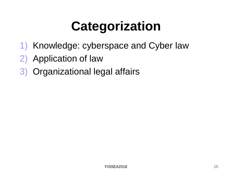## **Categorization**

- 1) Knowledge: cyberspace and Cyber law
- 2) Application of law
- 3) Organizational legal affairs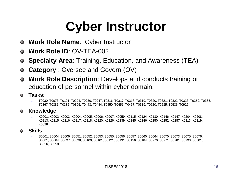#### **Cyber Instructor**

- **Work Role Name**: Cyber Instructor Φ.
- **Work Role ID**: OV-TEA-002  $\bullet$
- **Specialty Area**: Training, Education, and Awareness (TEA) .
- **Category** : Oversee and Govern (OV) Φ.
- education of personnel within cyber domain. **Work Role Description**: Develops and conducts training or
- **Tasks**: ۰
	- T0030, T0073, T0101, T0224, T0230, T0247, T0316, T0317, T0318, T0319, T0320, T0321, T0322, T0323, T0352, T0365, T0367, T0381, T0382, T0395, T0443, T0444, T0450, T0451, T0467, T0519, T0520, T0535, T0536, T0926
- **Knowledge**: ۰
	- K0001, K0002, K0003, K0004, K0005, K0006, K0007, K0059, K0115, K0124, K0130, K0146, K0147, K0204, K0208, K0628 K0213, K0215, K0216, K0217, K0218, K0220, K0226, K0239, K0245, K0246, K0250, K0252, K0287, K0313, K0319,
- **Skills**:
	- S0356, S0358 S0001, S0004, S0006, S0051, S0052, S0053, S0055, S0056, S0057, S0060, S0064, S0070, S0073, S0075, S0076, S0081, S0084, S0097, S0098, S0100, S0101, S0121, S0131, S0156, S0184, S0270, S0271, S0281, S0293, S0301,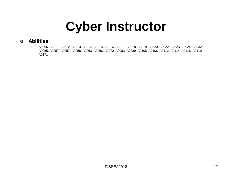#### **Cyber Instructor**

#### **Abilities**: ۰

 A0006, A0011, A0012, A0013, A0014, A0015, A0016, A0017, A0018, A0019, A0020, A0022, A0023, A0024, A0032, A0055, A0057, A0057, A0058, A0063, A0066, A0070, A0083, A0089, A0105, A0106, A0112, A0114, A0118, A0119, A0171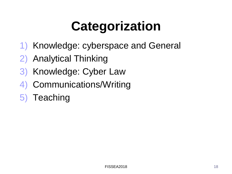## **Categorization**

- 1) Knowledge: cyberspace and General
- 2) Analytical Thinking
- 3) Knowledge: Cyber Law
- 4) Communications/Writing
- 5) Teaching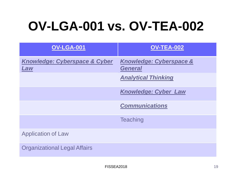#### **OV-LGA-001 vs. OV-TEA-002**

| <b>OV-LGA-001</b>                               | <b>OV-TEA-002</b>                         |
|-------------------------------------------------|-------------------------------------------|
| <b>Knowledge: Cyberspace &amp; Cyber</b><br>Law | Knowledge: Cyberspace &<br><b>General</b> |
|                                                 | <b>Analytical Thinking</b>                |
|                                                 | <b>Knowledge: Cyber Law</b>               |
|                                                 | <b>Communications</b>                     |
|                                                 | <b>Teaching</b>                           |
| <b>Application of Law</b>                       |                                           |
| <b>Organizational Legal Affairs</b>             |                                           |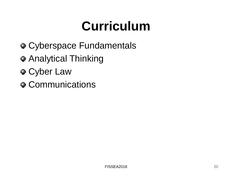#### **Curriculum**

- Cyberspace Fundamentals
- Analytical Thinking
- Cyber Law
- Communications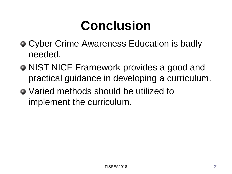#### **Conclusion**

- Cyber Crime Awareness Education is badly needed.
- NIST NICE Framework provides a good and practical guidance in developing a curriculum.
- Varied methods should be utilized to implement the curriculum. $$\rm _{FISSEA2018}$$